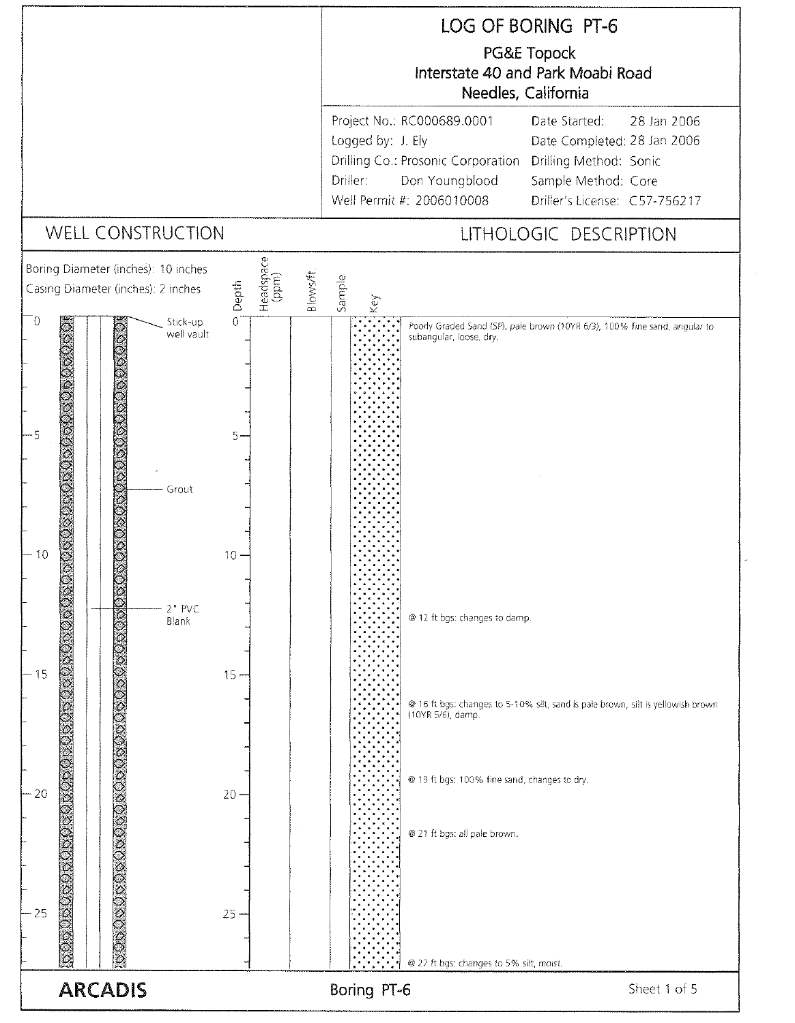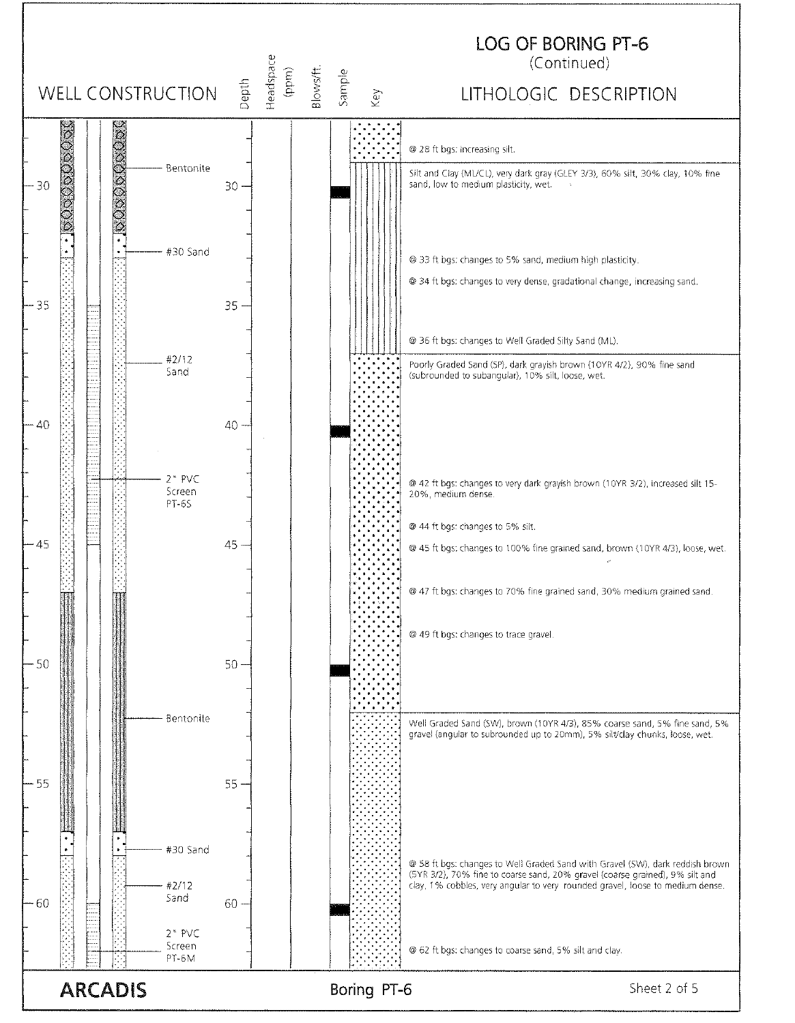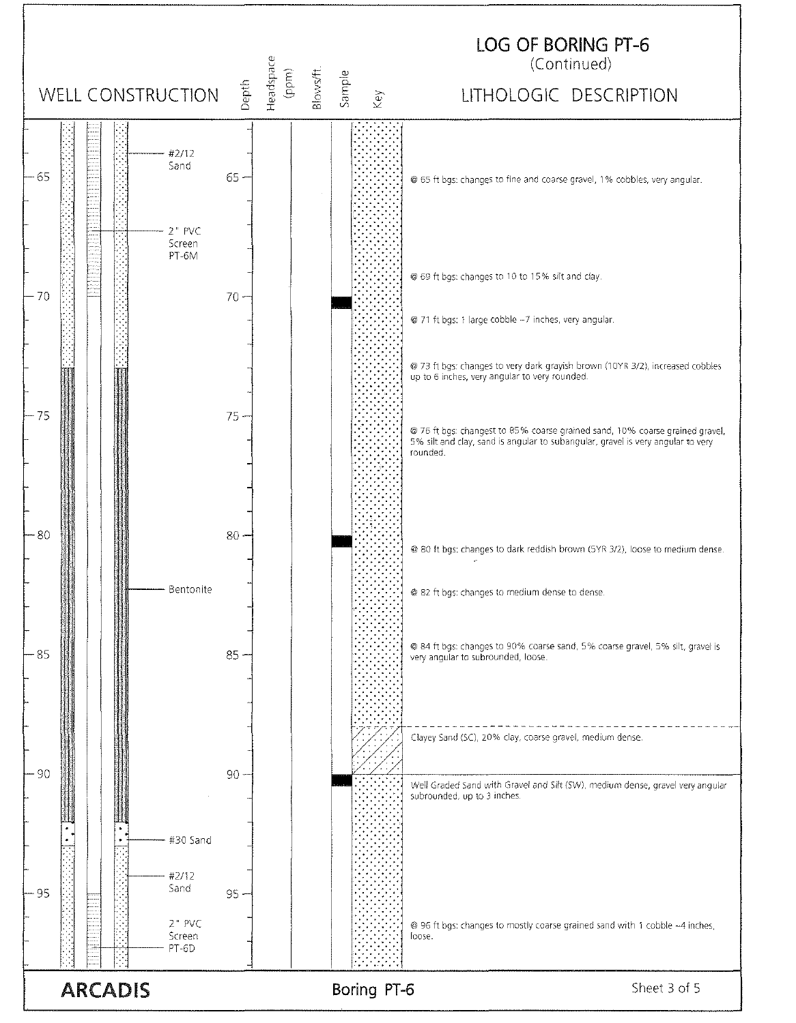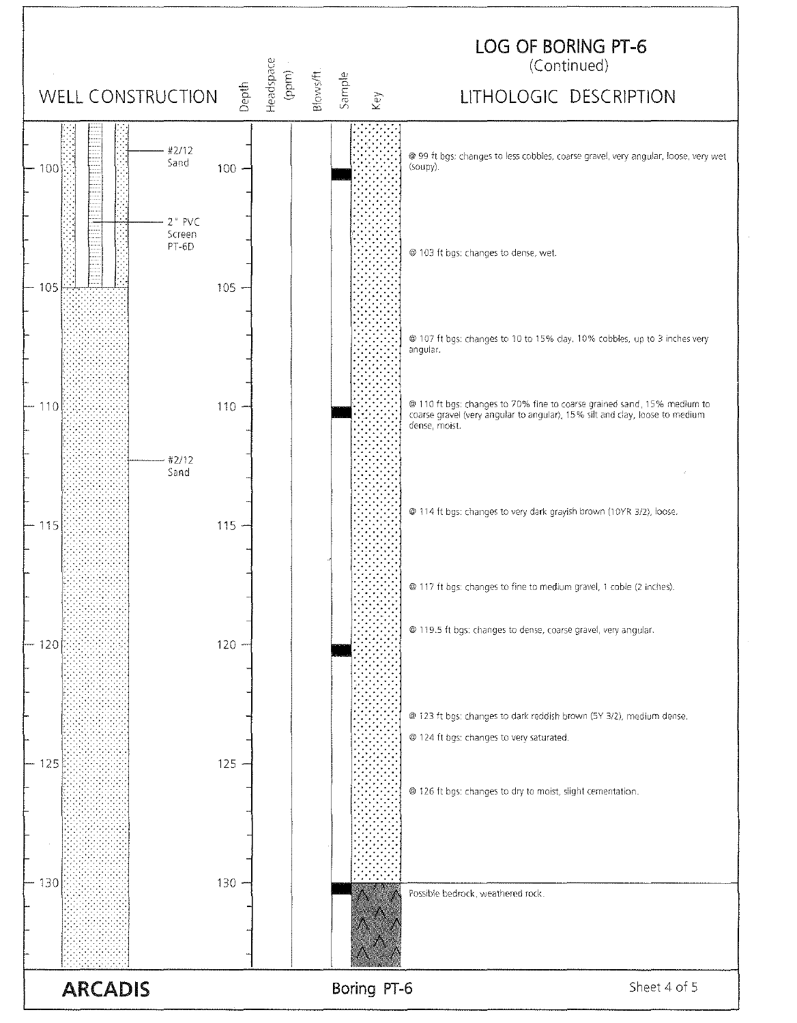

**ARCADIS**